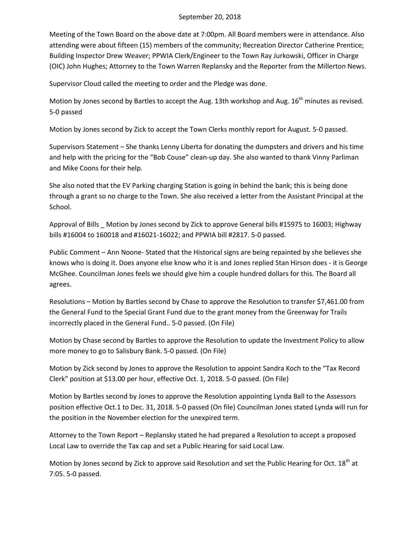## September 20, 2018

Meeting of the Town Board on the above date at 7:00pm. All Board members were in attendance. Also attending were about fifteen (15) members of the community; Recreation Director Catherine Prentice; Building Inspector Drew Weaver; PPWIA Clerk/Engineer to the Town Ray Jurkowski, Officer in Charge (OIC) John Hughes; Attorney to the Town Warren Replansky and the Reporter from the Millerton News.

Supervisor Cloud called the meeting to order and the Pledge was done.

Motion by Jones second by Bartles to accept the Aug. 13th workshop and Aug.  $16<sup>th</sup>$  minutes as revised. 5-0 passed

Motion by Jones second by Zick to accept the Town Clerks monthly report for August. 5-0 passed.

Supervisors Statement – She thanks Lenny Liberta for donating the dumpsters and drivers and his time and help with the pricing for the "Bob Couse" clean-up day. She also wanted to thank Vinny Parliman and Mike Coons for their help.

She also noted that the EV Parking charging Station is going in behind the bank; this is being done through a grant so no charge to the Town. She also received a letter from the Assistant Principal at the School.

Approval of Bills \_ Motion by Jones second by Zick to approve General bills #15975 to 16003; Highway bills #16004 to 160018 and #16021-16022; and PPWIA bill #2817. 5-0 passed.

Public Comment – Ann Noone- Stated that the Historical signs are being repainted by she believes she knows who is doing it. Does anyone else know who it is and Jones replied Stan Hirson does - it is George McGhee. Councilman Jones feels we should give him a couple hundred dollars for this. The Board all agrees.

Resolutions – Motion by Bartles second by Chase to approve the Resolution to transfer \$7,461.00 from the General Fund to the Special Grant Fund due to the grant money from the Greenway for Trails incorrectly placed in the General Fund.. 5-0 passed. (On File)

Motion by Chase second by Bartles to approve the Resolution to update the Investment Policy to allow more money to go to Salisbury Bank. 5-0 passed. (On File)

Motion by Zick second by Jones to approve the Resolution to appoint Sandra Koch to the "Tax Record Clerk" position at \$13.00 per hour, effective Oct. 1, 2018. 5-0 passed. (On File)

Motion by Bartles second by Jones to approve the Resolution appointing Lynda Ball to the Assessors position effective Oct.1 to Dec. 31, 2018. 5-0 passed (On file) Councilman Jones stated Lynda will run for the position in the November election for the unexpired term.

Attorney to the Town Report – Replansky stated he had prepared a Resolution to accept a proposed Local Law to override the Tax cap and set a Public Hearing for said Local Law.

Motion by Jones second by Zick to approve said Resolution and set the Public Hearing for Oct. 18th at 7:05. 5-0 passed.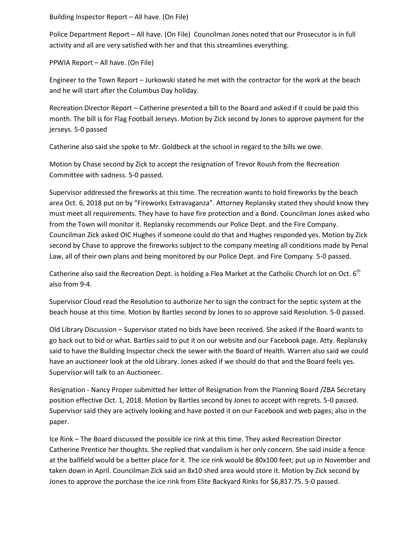Building Inspector Report – All have. (On File)

Police Department Report – All have. (On File) Councilman Jones noted that our Prosecutor is in full activity and all are very satisfied with her and that this streamlines everything.

PPWIA Report – All have. (On File)

Engineer to the Town Report – Jurkowski stated he met with the contractor for the work at the beach and he will start after the Columbus Day holiday.

Recreation Director Report – Catherine presented a bill to the Board and asked if it could be paid this month. The bill is for Flag Football Jerseys. Motion by Zick second by Jones to approve payment for the jerseys. 5-0 passed

Catherine also said she spoke to Mr. Goldbeck at the school in regard to the bills we owe.

Motion by Chase second by Zick to accept the resignation of Trevor Roush from the Recreation Committee with sadness. 5-0 passed.

Supervisor addressed the fireworks at this time. The recreation wants to hold fireworks by the beach area Oct. 6, 2018 put on by "Fireworks Extravaganza". Attorney Replansky stated they should know they must meet all requirements. They have to have fire protection and a Bond. Councilman Jones asked who from the Town will monitor it. Replansky recommends our Police Dept. and the Fire Company. Councilman Zick asked OIC Hughes if someone could do that and Hughes responded yes. Motion by Zick second by Chase to approve the fireworks subject to the company meeting all conditions made by Penal Law, all of their own plans and being monitored by our Police Dept. and Fire Company. 5-0 passed.

Catherine also said the Recreation Dept. is holding a Flea Market at the Catholic Church lot on Oct.  $6<sup>th</sup>$ also from 9-4.

Supervisor Cloud read the Resolution to authorize her to sign the contract for the septic system at the beach house at this time. Motion by Bartles second by Jones to so approve said Resolution. 5-0 passed.

Old Library Discussion – Supervisor stated no bids have been received. She asked if the Board wants to go back out to bid or what. Bartles said to put it on our website and our Facebook page. Atty. Replansky said to have the Building Inspector check the sewer with the Board of Health. Warren also said we could have an auctioneer look at the old Library. Jones asked if we should do that and the Board feels yes. Supervisor will talk to an Auctioneer.

Resignation - Nancy Proper submitted her letter of Resignation from the Planning Board /ZBA Secretary position effective Oct. 1, 2018. Motion by Bartles second by Jones to accept with regrets. 5-0 passed. Supervisor said they are actively looking and have posted it on our Facebook and web pages; also in the paper.

Ice Rink – The Board discussed the possible ice rink at this time. They asked Recreation Director Catherine Prentice her thoughts. She replied that vandalism is her only concern. She said inside a fence at the ballfield would be a better place for it. The ice rink would be 80x100 feet; put up in November and taken down in April. Councilman Zick said an 8x10 shed area would store it. Motion by Zick second by Jones to approve the purchase the ice rink from Elite Backyard Rinks for \$6,817.75. 5-0 passed.